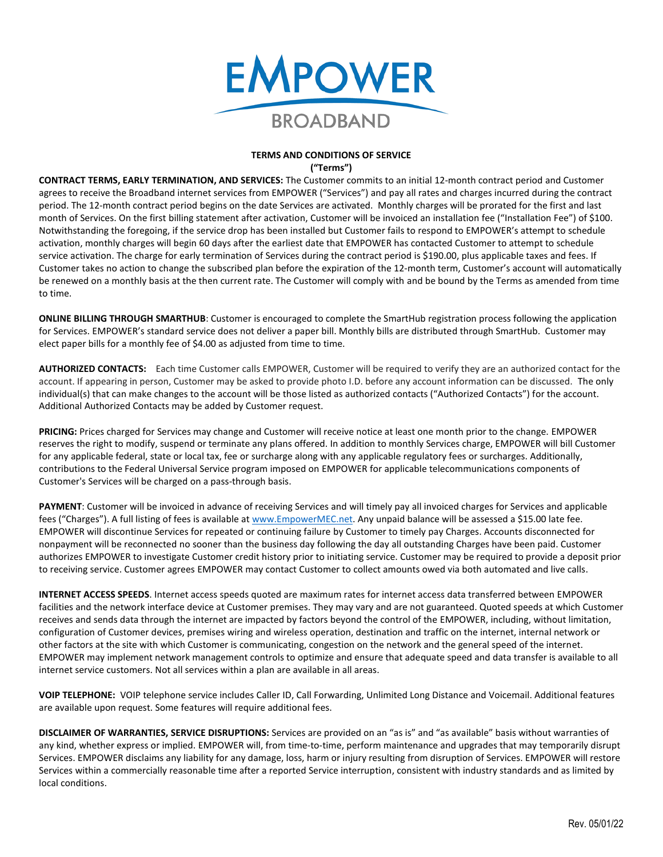

## **TERMS AND CONDITIONS OF SERVICE ("Terms")**

**CONTRACT TERMS, EARLY TERMINATION, AND SERVICES:** The Customer commits to an initial 12-month contract period and Customer agrees to receive the Broadband internet services from EMPOWER ("Services") and pay all rates and charges incurred during the contract period. The 12-month contract period begins on the date Services are activated. Monthly charges will be prorated for the first and last month of Services. On the first billing statement after activation, Customer will be invoiced an installation fee ("Installation Fee") of \$100. Notwithstanding the foregoing, if the service drop has been installed but Customer fails to respond to EMPOWER's attempt to schedule activation, monthly charges will begin 60 days after the earliest date that EMPOWER has contacted Customer to attempt to schedule service activation. The charge for early termination of Services during the contract period is \$190.00, plus applicable taxes and fees. If Customer takes no action to change the subscribed plan before the expiration of the 12-month term, Customer's account will automatically be renewed on a monthly basis at the then current rate. The Customer will comply with and be bound by the Terms as amended from time to time.

**ONLINE BILLING THROUGH SMARTHUB**: Customer is encouraged to complete the SmartHub registration process following the application for Services. EMPOWER's standard service does not deliver a paper bill. Monthly bills are distributed through SmartHub. Customer may elect paper bills for a monthly fee of \$4.00 as adjusted from time to time.

**AUTHORIZED CONTACTS:** Each time Customer calls EMPOWER, Customer will be required to verify they are an authorized contact for the account. If appearing in person, Customer may be asked to provide photo I.D. before any account information can be discussed. The only individual(s) that can make changes to the account will be those listed as authorized contacts ("Authorized Contacts") for the account. Additional Authorized Contacts may be added by Customer request.

**PRICING:** Prices charged for Services may change and Customer will receive notice at least one month prior to the change. EMPOWER reserves the right to modify, suspend or terminate any plans offered. In addition to monthly Services charge, EMPOWER will bill Customer for any applicable federal, state or local tax, fee or surcharge along with any applicable regulatory fees or surcharges. Additionally, contributions to the Federal Universal Service program imposed on EMPOWER for applicable telecommunications components of Customer's Services will be charged on a pass-through basis.

**PAYMENT**: Customer will be invoiced in advance of receiving Services and will timely pay all invoiced charges for Services and applicable fees ("Charges"). A full listing of fees is available at [www.EmpowerMEC.net.](http://www.empowermec.net/) Any unpaid balance will be assessed a \$15.00 late fee. EMPOWER will discontinue Services for repeated or continuing failure by Customer to timely pay Charges. Accounts disconnected for nonpayment will be reconnected no sooner than the business day following the day all outstanding Charges have been paid. Customer authorizes EMPOWER to investigate Customer credit history prior to initiating service. Customer may be required to provide a deposit prior to receiving service. Customer agrees EMPOWER may contact Customer to collect amounts owed via both automated and live calls.

**INTERNET ACCESS SPEEDS**. Internet access speeds quoted are maximum rates for internet access data transferred between EMPOWER facilities and the network interface device at Customer premises. They may vary and are not guaranteed. Quoted speeds at which Customer receives and sends data through the internet are impacted by factors beyond the control of the EMPOWER, including, without limitation, configuration of Customer devices, premises wiring and wireless operation, destination and traffic on the internet, internal network or other factors at the site with which Customer is communicating, congestion on the network and the general speed of the internet. EMPOWER may implement network management controls to optimize and ensure that adequate speed and data transfer is available to all internet service customers. Not all services within a plan are available in all areas.

**VOIP TELEPHONE:** VOIP telephone service includes Caller ID, Call Forwarding, Unlimited Long Distance and Voicemail. Additional features are available upon request. Some features will require additional fees.

**DISCLAIMER OF WARRANTIES, SERVICE DISRUPTIONS:** Services are provided on an "as is" and "as available" basis without warranties of any kind, whether express or implied. EMPOWER will, from time-to-time, perform maintenance and upgrades that may temporarily disrupt Services. EMPOWER disclaims any liability for any damage, loss, harm or injury resulting from disruption of Services. EMPOWER will restore Services within a commercially reasonable time after a reported Service interruption, consistent with industry standards and as limited by local conditions.